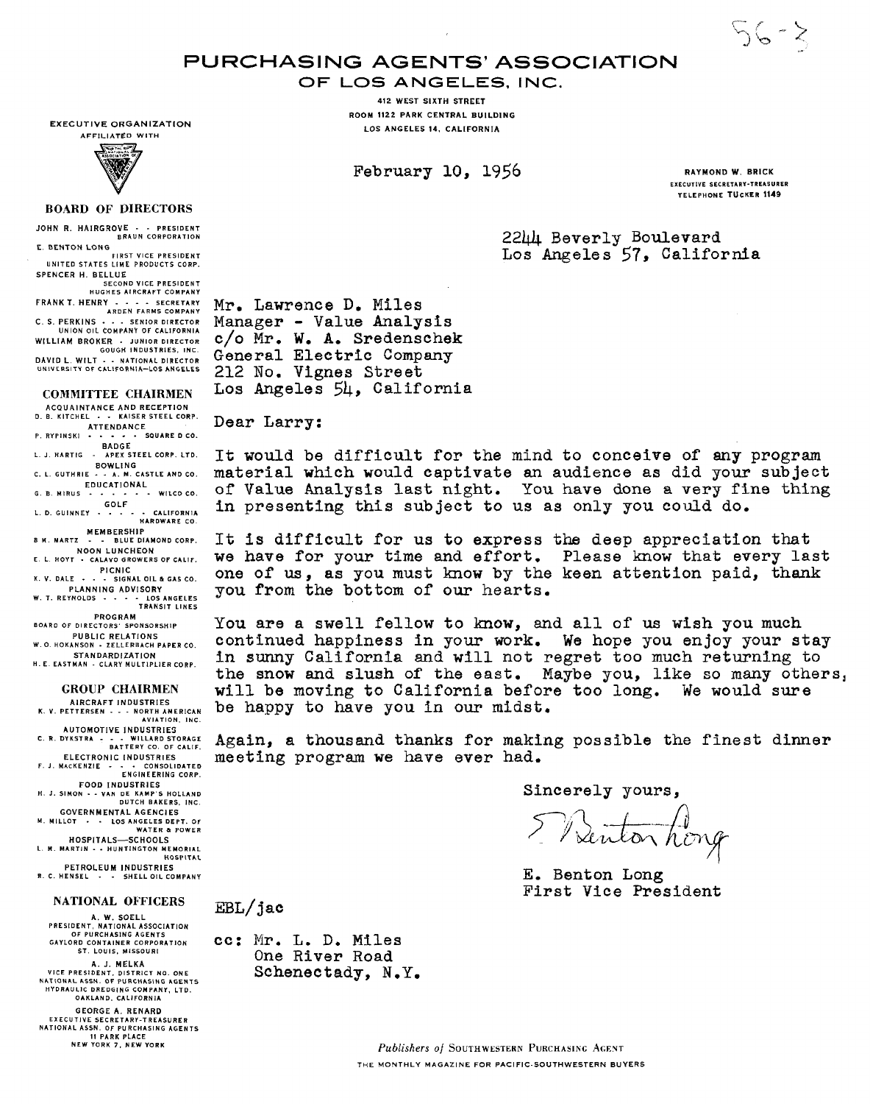$56 - 5$ 

# PURCHASING AGENTS' ASSOCIATION

**OF LOS ANGELES.** INC.

**412 WEST SIXTH STREET ROOM 1122 PARK CENTRAL BUILDING LOS ANGELES 14. CALIFORNIA** 

**EXECUTIVE ORGANIZATION**  AFFILIATED WITH



### **BOARD OF DIRECTORS**

**JOHN R. HAIRGROVE** - - PRESIDENT BRAUN CORPORATION

E. **BENTON** LONG FIRST VICE PRESIDENT<br>UNITED STATES LIME PRODUCTS CORP. **SPENCER H. BELLUE** 

SECOND VlCE PRESIDENT HUGHES AIRCRAFT COMPANY **FRANKT. HENRY** - - - - SECRETARY ARDEN FARMS COMPANY **C. S. PERKINS** - . - SENIOR DIRECTOR UNION OIL COMPANY OF CALIFORNIA **WILLIAM BROKER** - JUNIOR DIRECTOR GOUGH INDUSTRIES. INC **DAVID L. WILT - - NATIONAL DIRECTOR<br>UNIVERSITY OF CALIFORNIA-LOS ANGELES** 

## **COMMITTEE CHAIRMEN**

**ACQUAINTANCE AND RECEPTION**  D. B. KITCHEL . . KAISER STEEL CORP. **ATTENDANCE**  P. RYPINSKI . - - . SQUARE DCO.

**BADGE**  L J. HARTlG - APEX STEEL CORP. LTD. **BOWLING**  C. L. GUTHRIE - - A. M. CASTLE AND CO.

**EDUCATIONAL**  G.B MIRUS - - . . - - WILCOCO. **GOLF**  L.D.GUINNEY . . - - - CALIFORNIA HARDWARE CO.

MEMBERSHIP<br>BM. MARTZ - - BLUE DIA B M. MART2 - - BLUE DIAMOND CORP. **NOON LUNCHEON**  E L HOYT . CALAVO GROWERS OF CALIF.

PICNIC<br>**K. V. DALE · · · SIGNAL OIL & GAS CO.** 

K. V. DALE - - - SIGNAL OIL & GAS CO. **PLANNING ADVISORY**  W. T. REYNOLDS - - - - LOSAHGELES TRANSIT LINES

**PROGRAM**  BOARD OF DIRECTORS' SPONSORSHIP

**PUBLIC RELATIONS**  W. 0. HOKANSON - ZELLERBACH PAPER CO.

**STANDARDIZATION**  H. E. EASTMAN - CLARY MULTIPLIER CORP.

#### **GROUP CHAIRMEN**

**AIRCRAFT INDUSTRIES K. Y.** PETTERSEN . - - NORTH AMERICAN AVIATION. INC. **AUTOMOTIVE INDUSTRIES** 

C. R. DYKSTRA - - - WILLARD STORAGE BATTERY CO. OF CALIF. **ELECTRONIC INDUSTRIES** 

ELECTRONIC INDUSTRIES<br>F. J. MACKENZIE - - - CONSOLIDATED<br>ENGINEERING CORP. **FOOD INDUSTRIES** 

FOOD INDUSTRIES<br>H. J. SIMON - - VAN DE KAMP'S HOLLAND<br>DUTCH BAKERS, INC. **GOVERNMENTAL AGENCIES** 

M. MILLOT . . LOS ANGELES DEPT. C WATER & POWER **HOSPITALS-SCHOOLS** 

L. M. MARTIN - - HUNTINGTON MEMORIAL **HOSPITAL** 

**PETROLEUM INDUSTRIES** R. C. HENSEL - - SHELL OIL COMPANY

#### **NATIONAL OFFICERS**

**A. W. SOELL**  PRESIDENT, NATIONAL ASSOCIATION OF PURCHASING AGENTS GAYLORD CONTAINER CORPORATION ST. LOUIS. MISSOURI

**A. J. MELKA**  VlCE PRESIDENT. DISTRICT NO. ONE NkTIONAL kSSN. OF PURCHASING AGENTS HYDRAULIC DREDGING COMPANY. LTD. OAKLAND. CALIFORNIA

**GEORGE A. RENARD**  EXECUTIVE SECRETARY-TREASURER NATIONAL ASSN. OF PURCHASING AGENTS II PARK PLACE NEW YORK **7.** NEW YORK

February 10, 1956 RAYMOND W. BRICK

EXECUTIVE SECRETARY-TREASURER TELEPHONE **TUCKER** 1149

2244 Beverly Boulevard Los Angeles 57, California

Mr. Lawrence D. Miles Manager - Value Analysis c/o Mr. W. A. Sredenschek General Electric Company 212 No. Vignes Street Los Angeles 54, California

Dear Larry:

It **would** be difficult for the mind to conceive of **any** program material which would captivate an audience as did your subject of Value Analysis last night. You have done a very fine **thing**  in presenting this subject to us as only you could do.

It is difficult for us to express the deep appreciation that we have for your time **and** effort. Please know that every last one of **us,** as you must know by the keen attention paid, thank you from the bottom of our hearts.

You are a swell fellow to know, **and** all of us wish you much continued happiness in **your work.** We hope you enjoy your stay in sunny California and will not regret too much returning to the **snow and** slush of the east. Maybe you, like so **many** others, will be moving to California before too long. We would **sure**  be happy to have you in our midst.

Again, a thousand thanks for making possible the finest dinner meeting program we have ever **had.** 

Sincerely yours,

Director hong

E. Benton Long First Vice President

**BL/** jac

**cc:** Mr. L. D. Miles One River Road Schenectady, N.Y.